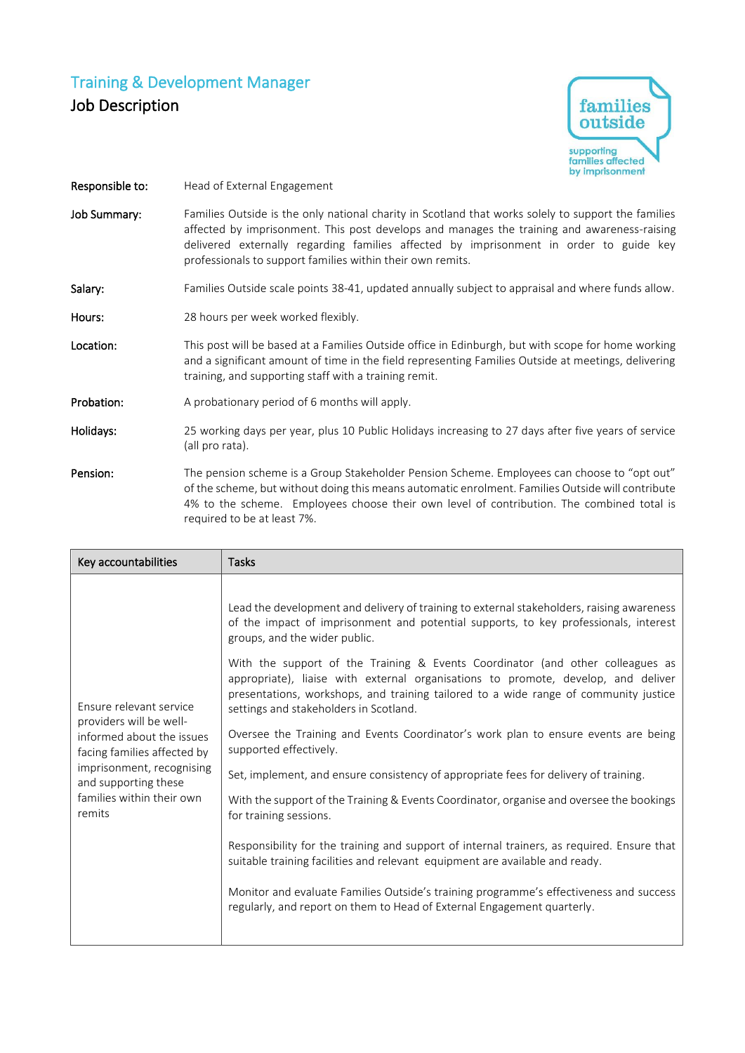## Training & Development Manager Job Description



- Responsible to: Head of External Engagement
- Job Summary: Families Outside is the only national charity in Scotland that works solely to support the families affected by imprisonment. This post develops and manages the training and awareness-raising delivered externally regarding families affected by imprisonment in order to guide key professionals to support families within their own remits.

## Salary: Families Outside scale points 38-41, updated annually subject to appraisal and where funds allow.

- Hours: 28 hours per week worked flexibly.
- Location: This post will be based at a Families Outside office in Edinburgh, but with scope for home working and a significant amount of time in the field representing Families Outside at meetings, delivering training, and supporting staff with a training remit.
- Probation: A probationary period of 6 months will apply.
- Holidays: 25 working days per year, plus 10 Public Holidays increasing to 27 days after five years of service (all pro rata).
- Pension: The pension scheme is a Group Stakeholder Pension Scheme. Employees can choose to "opt out" of the scheme, but without doing this means automatic enrolment. Families Outside will contribute 4% to the scheme. Employees choose their own level of contribution. The combined total is required to be at least 7%.

| Key accountabilities                                                                                                                                                                                       | <b>Tasks</b>                                                                                                                                                                                                                                                                                                                                                                                                                                                                                                                                                                                                                                                                                                                                                                                                                                                                                                                                                                                                                                                                                                                                                                                                 |
|------------------------------------------------------------------------------------------------------------------------------------------------------------------------------------------------------------|--------------------------------------------------------------------------------------------------------------------------------------------------------------------------------------------------------------------------------------------------------------------------------------------------------------------------------------------------------------------------------------------------------------------------------------------------------------------------------------------------------------------------------------------------------------------------------------------------------------------------------------------------------------------------------------------------------------------------------------------------------------------------------------------------------------------------------------------------------------------------------------------------------------------------------------------------------------------------------------------------------------------------------------------------------------------------------------------------------------------------------------------------------------------------------------------------------------|
| Ensure relevant service<br>providers will be well-<br>informed about the issues<br>facing families affected by<br>imprisonment, recognising<br>and supporting these<br>families within their own<br>remits | Lead the development and delivery of training to external stakeholders, raising awareness<br>of the impact of imprisonment and potential supports, to key professionals, interest<br>groups, and the wider public.<br>With the support of the Training & Events Coordinator (and other colleagues as<br>appropriate), liaise with external organisations to promote, develop, and deliver<br>presentations, workshops, and training tailored to a wide range of community justice<br>settings and stakeholders in Scotland.<br>Oversee the Training and Events Coordinator's work plan to ensure events are being<br>supported effectively.<br>Set, implement, and ensure consistency of appropriate fees for delivery of training.<br>With the support of the Training & Events Coordinator, organise and oversee the bookings<br>for training sessions.<br>Responsibility for the training and support of internal trainers, as required. Ensure that<br>suitable training facilities and relevant equipment are available and ready.<br>Monitor and evaluate Families Outside's training programme's effectiveness and success<br>regularly, and report on them to Head of External Engagement quarterly. |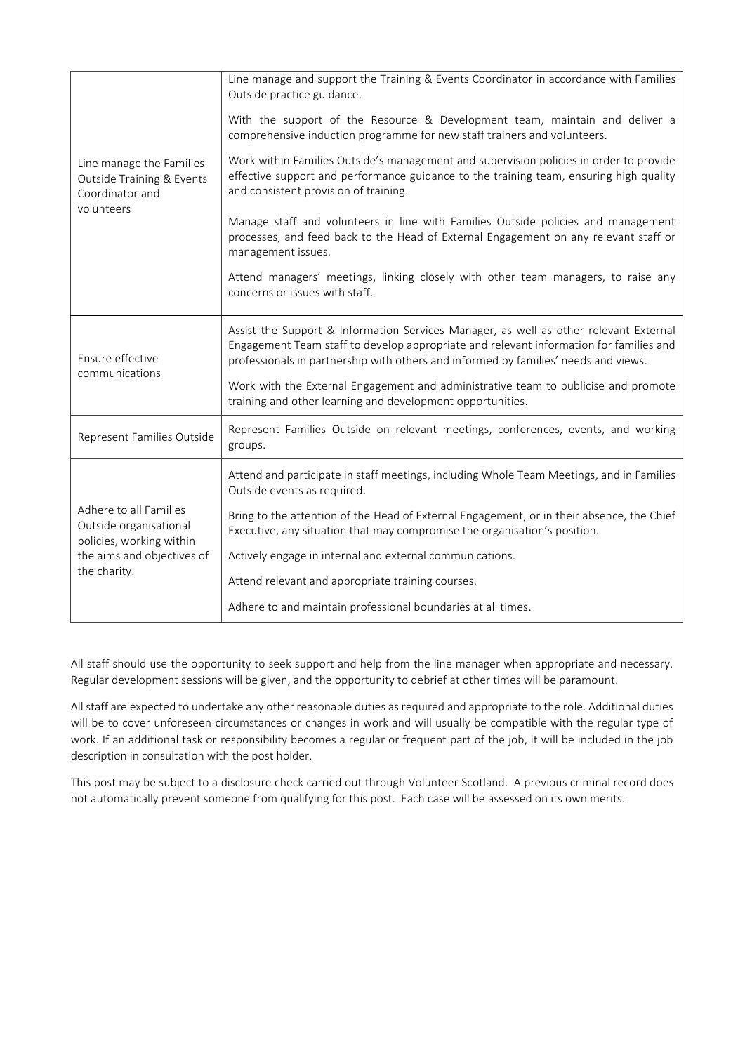| Line manage the Families<br><b>Outside Training &amp; Events</b><br>Coordinator and<br>volunteers                          | Line manage and support the Training & Events Coordinator in accordance with Families<br>Outside practice guidance.                                                                                                                                                    |  |
|----------------------------------------------------------------------------------------------------------------------------|------------------------------------------------------------------------------------------------------------------------------------------------------------------------------------------------------------------------------------------------------------------------|--|
|                                                                                                                            | With the support of the Resource & Development team, maintain and deliver a<br>comprehensive induction programme for new staff trainers and volunteers.                                                                                                                |  |
|                                                                                                                            | Work within Families Outside's management and supervision policies in order to provide<br>effective support and performance guidance to the training team, ensuring high quality<br>and consistent provision of training.                                              |  |
|                                                                                                                            | Manage staff and volunteers in line with Families Outside policies and management<br>processes, and feed back to the Head of External Engagement on any relevant staff or<br>management issues.                                                                        |  |
|                                                                                                                            | Attend managers' meetings, linking closely with other team managers, to raise any<br>concerns or issues with staff.                                                                                                                                                    |  |
| Ensure effective<br>communications                                                                                         | Assist the Support & Information Services Manager, as well as other relevant External<br>Engagement Team staff to develop appropriate and relevant information for families and<br>professionals in partnership with others and informed by families' needs and views. |  |
|                                                                                                                            | Work with the External Engagement and administrative team to publicise and promote<br>training and other learning and development opportunities.                                                                                                                       |  |
| Represent Families Outside                                                                                                 | Represent Families Outside on relevant meetings, conferences, events, and working<br>groups.                                                                                                                                                                           |  |
| Adhere to all Families<br>Outside organisational<br>policies, working within<br>the aims and objectives of<br>the charity. | Attend and participate in staff meetings, including Whole Team Meetings, and in Families<br>Outside events as required.                                                                                                                                                |  |
|                                                                                                                            | Bring to the attention of the Head of External Engagement, or in their absence, the Chief<br>Executive, any situation that may compromise the organisation's position.                                                                                                 |  |
|                                                                                                                            | Actively engage in internal and external communications.                                                                                                                                                                                                               |  |
|                                                                                                                            | Attend relevant and appropriate training courses.                                                                                                                                                                                                                      |  |
|                                                                                                                            | Adhere to and maintain professional boundaries at all times.                                                                                                                                                                                                           |  |

All staff should use the opportunity to seek support and help from the line manager when appropriate and necessary. Regular development sessions will be given, and the opportunity to debrief at other times will be paramount.

All staff are expected to undertake any other reasonable duties as required and appropriate to the role. Additional duties will be to cover unforeseen circumstances or changes in work and will usually be compatible with the regular type of work. If an additional task or responsibility becomes a regular or frequent part of the job, it will be included in the job description in consultation with the post holder.

This post may be subject to a disclosure check carried out through Volunteer Scotland. A previous criminal record does not automatically prevent someone from qualifying for this post. Each case will be assessed on its own merits.